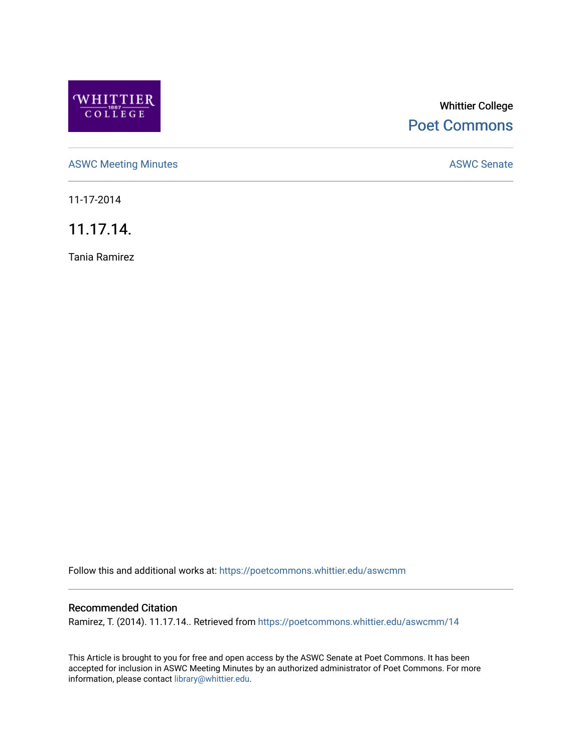

# Whittier College [Poet Commons](https://poetcommons.whittier.edu/)

[ASWC Meeting Minutes](https://poetcommons.whittier.edu/aswcmm) **ASWC Senate** 

11-17-2014

11.17.14.

Tania Ramirez

Follow this and additional works at: [https://poetcommons.whittier.edu/aswcmm](https://poetcommons.whittier.edu/aswcmm?utm_source=poetcommons.whittier.edu%2Faswcmm%2F14&utm_medium=PDF&utm_campaign=PDFCoverPages)

## Recommended Citation

Ramirez, T. (2014). 11.17.14.. Retrieved from [https://poetcommons.whittier.edu/aswcmm/14](https://poetcommons.whittier.edu/aswcmm/14?utm_source=poetcommons.whittier.edu%2Faswcmm%2F14&utm_medium=PDF&utm_campaign=PDFCoverPages)

This Article is brought to you for free and open access by the ASWC Senate at Poet Commons. It has been accepted for inclusion in ASWC Meeting Minutes by an authorized administrator of Poet Commons. For more information, please contact [library@whittier.edu.](mailto:library@whittier.edu)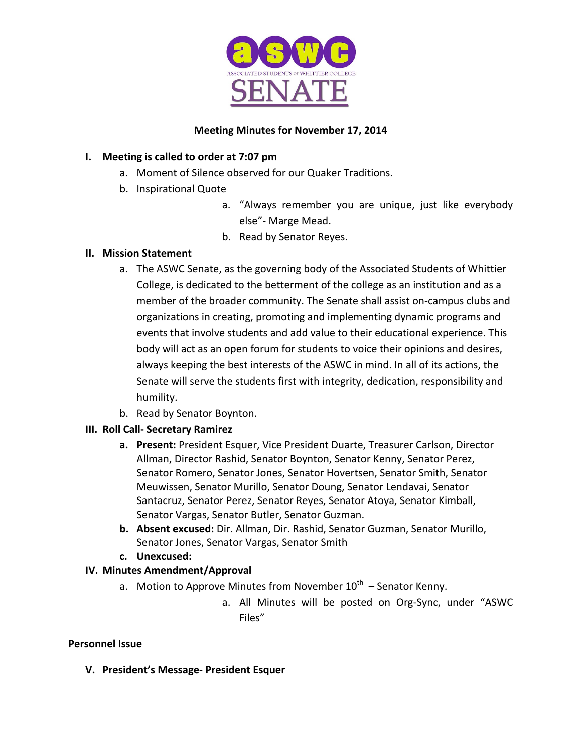

## **Meeting Minutes for November 17, 2014**

## **I.** Meeting is called to order at 7:07 pm

- a. Moment of Silence observed for our Quaker Traditions.
- b. Inspirational Quote
	- a. "Always remember you are unique, just like everybody else"- Marge Mead.
	- b. Read by Senator Reyes.

## **II. Mission Statement**

- a. The ASWC Senate, as the governing body of the Associated Students of Whittier College, is dedicated to the betterment of the college as an institution and as a member of the broader community. The Senate shall assist on-campus clubs and organizations in creating, promoting and implementing dynamic programs and events that involve students and add value to their educational experience. This body will act as an open forum for students to voice their opinions and desires, always keeping the best interests of the ASWC in mind. In all of its actions, the Senate will serve the students first with integrity, dedication, responsibility and humility.
- b. Read by Senator Boynton.

# **III. Roll Call- Secretary Ramirez**

- **a.** Present: President Esquer, Vice President Duarte, Treasurer Carlson, Director Allman, Director Rashid, Senator Boynton, Senator Kenny, Senator Perez, Senator Romero, Senator Jones, Senator Hovertsen, Senator Smith, Senator Meuwissen, Senator Murillo, Senator Doung, Senator Lendavai, Senator Santacruz, Senator Perez, Senator Reyes, Senator Atoya, Senator Kimball, Senator Vargas, Senator Butler, Senator Guzman.
- **b.** Absent excused: Dir. Allman, Dir. Rashid, Senator Guzman, Senator Murillo, Senator Jones, Senator Vargas, Senator Smith
- **c. Unexcused:**

# **IV. Minutes Amendment/Approval**

- a. Motion to Approve Minutes from November  $10^{th}$  Senator Kenny.
	- a. All Minutes will be posted on Org-Sync, under "ASWC Files"

## **Personnel Issue**

**V. President's Message- President Esquer**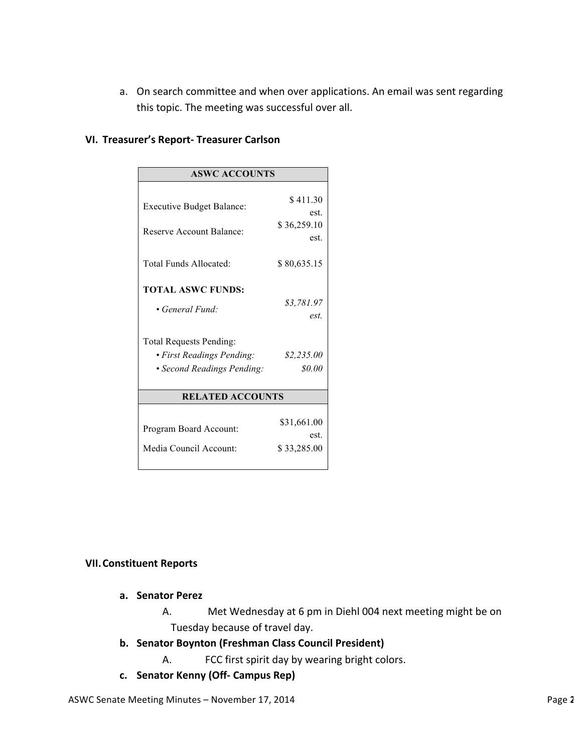a. On search committee and when over applications. An email was sent regarding this topic. The meeting was successful over all.

|  | VI. Treasurer's Report- Treasurer Carlson |  |  |  |
|--|-------------------------------------------|--|--|--|
|--|-------------------------------------------|--|--|--|

| <b>ASWC ACCOUNTS</b>                                        |                     |  |  |  |
|-------------------------------------------------------------|---------------------|--|--|--|
|                                                             | \$411.30            |  |  |  |
| <b>Executive Budget Balance:</b>                            | est.                |  |  |  |
| <b>Reserve Account Balance:</b>                             | \$36,259.10<br>est. |  |  |  |
|                                                             |                     |  |  |  |
| Total Funds Allocated:                                      | \$80,635.15         |  |  |  |
| <b>TOTAL ASWC FUNDS:</b>                                    |                     |  |  |  |
| • General Fund:                                             | \$3,781.97<br>est.  |  |  |  |
|                                                             |                     |  |  |  |
| <b>Total Requests Pending:</b><br>· First Readings Pending: | \$2,235.00          |  |  |  |
|                                                             | \$0.00              |  |  |  |
| • Second Readings Pending:                                  |                     |  |  |  |
| <b>RELATED ACCOUNTS</b>                                     |                     |  |  |  |
|                                                             |                     |  |  |  |
| Program Board Account:                                      | \$31,661.00<br>est. |  |  |  |
| Media Council Account:                                      | \$33,285.00         |  |  |  |
|                                                             |                     |  |  |  |

## **VII.Constituent Reports**

- **a. Senator Perez**
	- A. Met Wednesday at 6 pm in Diehl 004 next meeting might be on Tuesday because of travel day.
- **b.** Senator Boynton (Freshman Class Council President)
	- A. FCC first spirit day by wearing bright colors.
- **c. Senator Kenny (Off- Campus Rep)**

ASWC Senate Meeting Minutes – November 17, 2014 **Page 2** of *Company Page 2* of *Company Page 2* of *Company Page 2*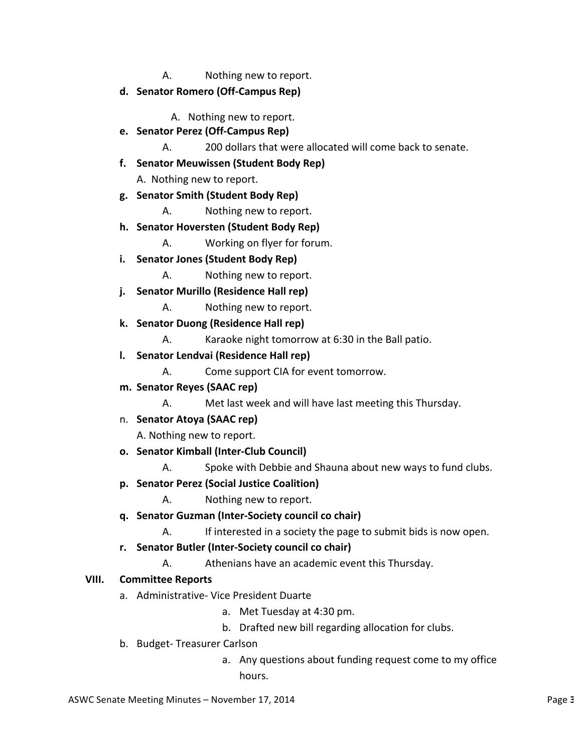- A. Nothing new to report.
- **d. Senator Romero (Off-Campus Rep)**
	- A. Nothing new to report.
- **e. Senator Perez (Off-Campus Rep)**
	- A. 200 dollars that were allocated will come back to senate.
- **f. Senator Meuwissen (Student Body Rep)**

A. Nothing new to report.

- **g. Senator Smith (Student Body Rep)**
	- A. Nothing new to report.
- **h. Senator Hoversten (Student Body Rep)**
	- A. Working on flyer for forum.
- **i. Senator Jones (Student Body Rep)**
	- A. Nothing new to report.
- **j. Senator Murillo (Residence Hall rep)**
	- A. Nothing new to report.
- **k. Senator Duong (Residence Hall rep)**
	- A. Karaoke night tomorrow at 6:30 in the Ball patio.
- **l. Senator Lendvai (Residence Hall rep)**
	- A. Come support CIA for event tomorrow.
- **m. Senator Reyes (SAAC rep)**
	- A. Met last week and will have last meeting this Thursday.
- n. **Senator Atoya (SAAC rep)**

A. Nothing new to report.

- **o. Senator Kimball (Inter-Club Council)**
	- A. Spoke with Debbie and Shauna about new ways to fund clubs.
- **p. Senator Perez (Social Justice Coalition)**
	- A. Nothing new to report.
- **q. Senator Guzman (Inter-Society council co chair)**
	- A. If interested in a society the page to submit bids is now open.
- **r. Senator Butler (Inter-Society council co chair)**
	- A. Athenians have an academic event this Thursday.

## **VIII. Committee Reports**

- a. Administrative- Vice President Duarte
	- a. Met Tuesday at 4:30 pm.
	- b. Drafted new bill regarding allocation for clubs.
- b. Budget- Treasurer Carlson
	- a. Any questions about funding request come to my office hours.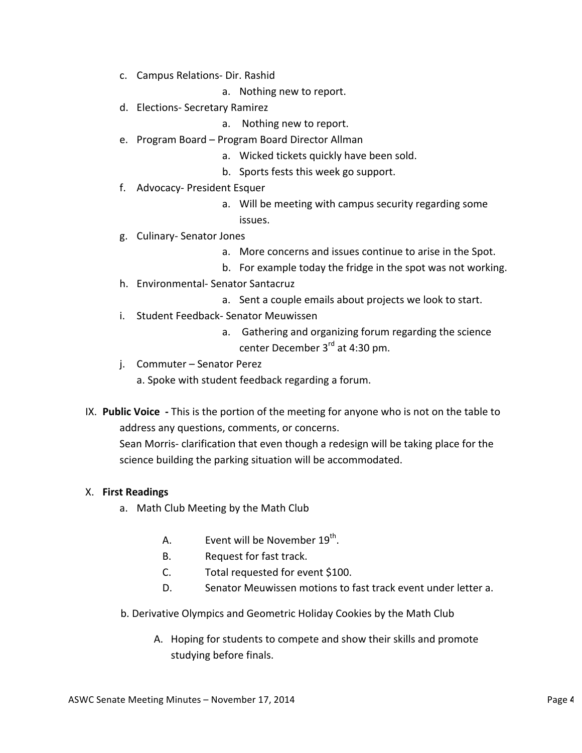- c. Campus Relations- Dir. Rashid
	- a. Nothing new to report.
- d. Elections- Secretary Ramirez
	- a. Nothing new to report.
- e. Program Board Program Board Director Allman
	- a. Wicked tickets quickly have been sold.
	- b. Sports fests this week go support.
- f. Advocacy- President Esquer
	- a. Will be meeting with campus security regarding some issues.
- g. Culinary- Senator Jones
	- a. More concerns and issues continue to arise in the Spot.
	- b. For example today the fridge in the spot was not working.
- h. Environmental- Senator Santacruz
	- a. Sent a couple emails about projects we look to start.
- i. Student Feedback- Senator Meuwissen
	- a. Gathering and organizing forum regarding the science center December 3<sup>rd</sup> at 4:30 pm.
- j. Commuter Senator Perez
	- a. Spoke with student feedback regarding a forum.
- IX. Public Voice This is the portion of the meeting for anyone who is not on the table to address any questions, comments, or concerns.

Sean Morris- clarification that even though a redesign will be taking place for the science building the parking situation will be accommodated.

## X. **First Readings**

- a. Math Club Meeting by the Math Club
	- A. Event will be November  $19<sup>th</sup>$ .
	- B. Request for fast track.
	- C. Total requested for event \$100.
	- D. Senator Meuwissen motions to fast track event under letter a.
- b. Derivative Olympics and Geometric Holiday Cookies by the Math Club
	- A. Hoping for students to compete and show their skills and promote studying before finals.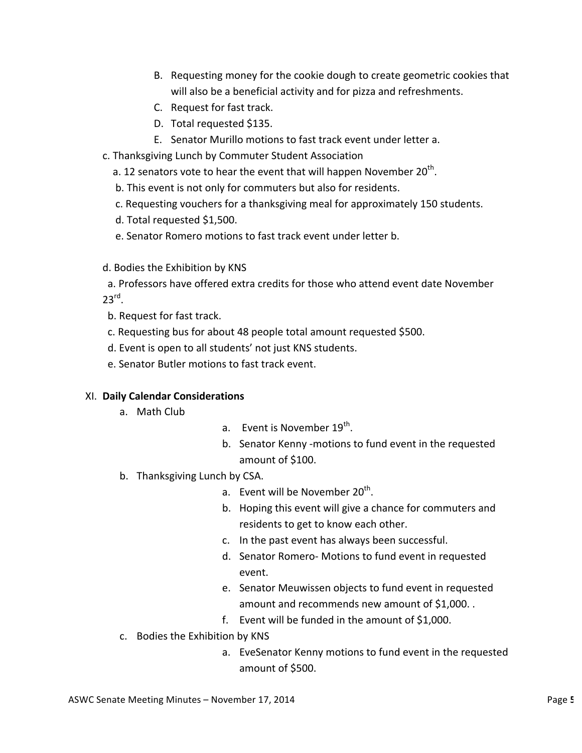- B. Requesting money for the cookie dough to create geometric cookies that will also be a beneficial activity and for pizza and refreshments.
- C. Request for fast track.
- D. Total requested \$135.
- E. Senator Murillo motions to fast track event under letter a.
- c. Thanksgiving Lunch by Commuter Student Association
	- a. 12 senators vote to hear the event that will happen November  $20<sup>th</sup>$ .
	- b. This event is not only for commuters but also for residents.
	- c. Requesting vouchers for a thanksgiving meal for approximately 150 students.
	- d. Total requested \$1,500.
	- e. Senator Romero motions to fast track event under letter b.
- d. Bodies the Exhibition by KNS
- a. Professors have offered extra credits for those who attend event date November  $23^{\text{rd}}$ .
- b. Request for fast track.
- c. Requesting bus for about 48 people total amount requested \$500.
- d. Event is open to all students' not just KNS students.
- e. Senator Butler motions to fast track event.

## XI. **Daily Calendar Considerations**

- a. Math Club
- a. Event is November  $19^{th}$ .
- b. Senator Kenny -motions to fund event in the requested amount of \$100.
- b. Thanksgiving Lunch by CSA.
	- a. Event will be November  $20^{th}$ .
	- b. Hoping this event will give a chance for commuters and residents to get to know each other.
	- c. In the past event has always been successful.
	- d. Senator Romero- Motions to fund event in requested event.
	- e. Senator Meuwissen objects to fund event in requested amount and recommends new amount of \$1,000. .
	- f. Event will be funded in the amount of  $$1,000$ .
- c. Bodies the Exhibition by KNS
	- a. EveSenator Kenny motions to fund event in the requested amount of \$500.